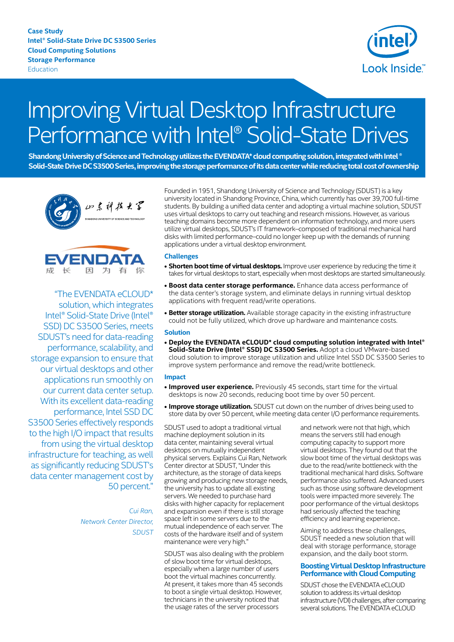**Case Study Intel® Solid-State Drive DC S3500 Series Cloud Computing Solutions Storage Performance** Education



# Improving Virtual Desktop Infrastructure Performance with Intel® Solid-State Drives

Shandong University of Science and Technology utilizes the EVENDATA\* cloud computing solution, integrated with Intel ® Solid-State Drive DC S3500 Series, improving the storage performance of its data center while reducing total cost of ownership



**ENDAT** 因为有  $\overline{\kappa}$ 

"The EVENDATA eCLOUD\* solution, which integrates Intel® Solid-State Drive (Intel® SSD) DC S3500 Series, meets SDUST's need for data-reading performance, scalability, and storage expansion to ensure that our virtual desktops and other applications run smoothly on our current data center setup. With its excellent data-reading performance, Intel SSD DC S3500 Series effectively responds to the high I/O impact that results from using the virtual desktop infrastructure for teaching, as well as significantly reducing SDUST's data center management cost by 50 percent."

> *Cui Ran, Network Center Director, SDUST*

Founded in 1951, Shandong University of Science and Technology (SDUST) is a key university located in Shandong Province, China, which currently has over 39,700 full-time students. By building a unified data center and adopting a virtual machine solution, SDUST uses virtual desktops to carry out teaching and research missions. However, as various teaching domains become more dependent on information technology, and more users utilize virtual desktops, SDUST's IT framework–composed of traditional mechanical hard disks with limited performance–could no longer keep up with the demands of running applications under a virtual desktop environment.

## **Challenges**

- **Shorten boot time of virtual desktops.** Improve user experience by reducing the time it takes for virtual desktops to start, especially when most desktops are started simultaneously.
- **• Boost data center storage performance.** Enhance data access performance of the data center's storage system, and eliminate delays in running virtual desktop applications with frequent read/write operations.
- **• Better storage utilization.** Available storage capacity in the existing infrastructure could not be fully utilized, which drove up hardware and maintenance costs.

#### **Solution**

**• Deploy the EVENDATA eCLOUD\* cloud computing solution integrated with Intel® Solid-State Drive (Intel® SSD) DC S3500 Series.** Adopt a cloud VMware-based cloud solution to improve storage utilization and utilize Intel SSD DC S3500 Series to improve system performance and remove the read/write bottleneck.

#### **Impact**

- **Improved user experience.** Previously 45 seconds, start time for the virtual desktops is now 20 seconds, reducing boot time by over 50 percent.
- **• Improve storage utilization.** SDUST cut down on the number of drives being used to store data by over 50 percent, while meeting data center I/O performance requirements.

SDUST used to adopt a traditional virtual machine deployment solution in its data center, maintaining several virtual desktops on mutually independent physical servers. Explains Cui Ran, Network Center director at SDUST, "Under this architecture, as the storage of data keeps growing and producing new storage needs, the university has to update all existing servers. We needed to purchase hard disks with higher capacity for replacement and expansion even if there is still storage space left in some servers due to the mutual independence of each server. The costs of the hardware itself and of system maintenance were very high."

SDUST was also dealing with the problem of slow boot time for virtual desktops, especially when a large number of users boot the virtual machines concurrently. At present, it takes more than 45 seconds to boot a single virtual desktop. However, technicians in the university noticed that the usage rates of the server processors

and network were not that high, which means the servers still had enough computing capacity to support more virtual desktops. They found out that the slow boot time of the virtual desktops was due to the read/write bottleneck with the traditional mechanical hard disks. Software performance also suffered. Advanced users such as those using software development tools were impacted more severely. The poor performance of the virtual desktops had seriously affected the teaching efficiency and learning experience..

Aiming to address these challenges, SDUST needed a new solution that will deal with storage performance, storage expansion, and the daily boot storm.

## **Boosting Virtual Desktop Infrastructure Performance with Cloud Computing**

SDUST chose the EVENDATA eCLOUD solution to address its virtual desktop infrastructure (VDI) challenges, after comparing several solutions. The EVENDATA eCLOUD